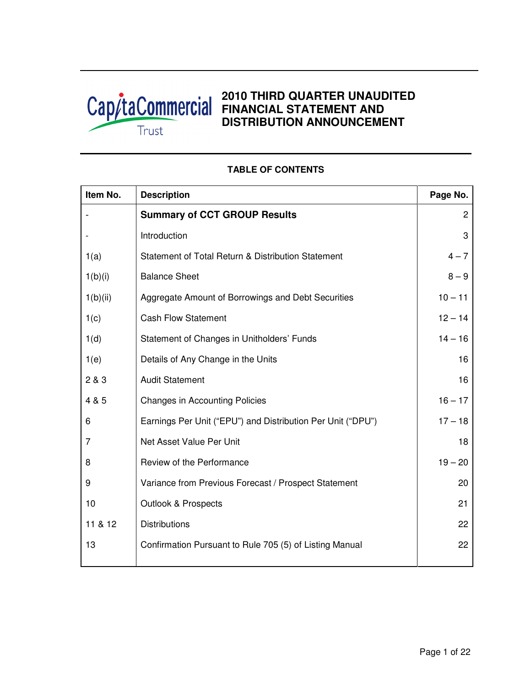

# **2010 THIRD QUARTER UNAUDITED FINANCIAL STATEMENT AND DISTRIBUTION ANNOUNCEMENT**

| Item No. | <b>Description</b>                                          | Page No.       |
|----------|-------------------------------------------------------------|----------------|
|          | <b>Summary of CCT GROUP Results</b>                         | $\overline{2}$ |
|          | Introduction                                                | 3              |
| 1(a)     | Statement of Total Return & Distribution Statement          | $4 - 7$        |
| 1(b)(i)  | <b>Balance Sheet</b>                                        | $8 - 9$        |
| 1(b)(ii) | Aggregate Amount of Borrowings and Debt Securities          | $10 - 11$      |
| 1(c)     | <b>Cash Flow Statement</b>                                  | $12 - 14$      |
| 1(d)     | Statement of Changes in Unitholders' Funds                  | $14 - 16$      |
| 1(e)     | Details of Any Change in the Units                          | 16             |
| 2 & 3    | <b>Audit Statement</b>                                      | 16             |
| 4 & 5    | <b>Changes in Accounting Policies</b>                       | $16 - 17$      |
| 6        | Earnings Per Unit ("EPU") and Distribution Per Unit ("DPU") | $17 - 18$      |
| 7        | Net Asset Value Per Unit                                    | 18             |
| 8        | Review of the Performance                                   | $19 - 20$      |
| 9        | Variance from Previous Forecast / Prospect Statement        | 20             |
| 10       | <b>Outlook &amp; Prospects</b>                              | 21             |
| 11 & 12  | <b>Distributions</b>                                        | 22             |
| 13       | Confirmation Pursuant to Rule 705 (5) of Listing Manual     | 22             |

# **TABLE OF CONTENTS**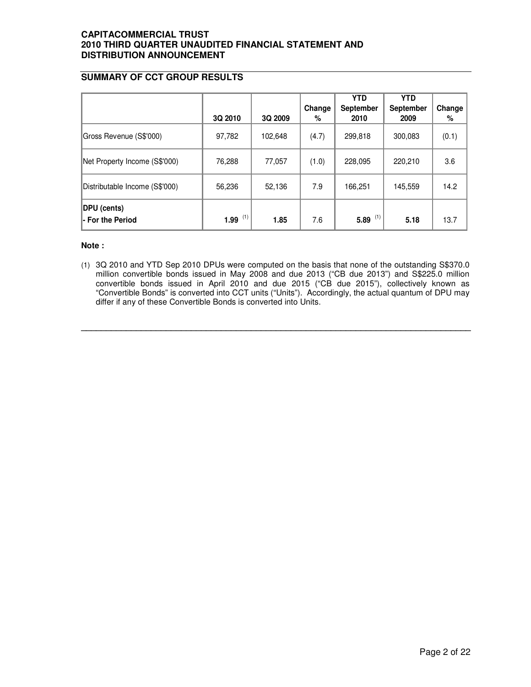# **SUMMARY OF CCT GROUP RESULTS**

|                                 | 3Q 2010    | 3Q 2009 | Change<br>% | YTD.<br><b>September</b><br>2010 | YTD.<br>September<br>2009 | Change<br>% |
|---------------------------------|------------|---------|-------------|----------------------------------|---------------------------|-------------|
| Gross Revenue (S\$'000)         | 97,782     | 102,648 | (4.7)       | 299.818                          | 300,083                   | (0.1)       |
| Net Property Income (S\$'000)   | 76,288     | 77,057  | (1.0)       | 228,095                          | 220,210                   | 3.6         |
| Distributable Income (S\$'000)  | 56,236     | 52,136  | 7.9         | 166,251                          | 145,559                   | 14.2        |
| DPU (cents)<br>- For the Period | 1.99 $(1)$ | 1.85    | 7.6         | (1)<br>5.89                      | 5.18                      | 13.7        |

### **Note :**

(1) 3Q 2010 and YTD Sep 2010 DPUs were computed on the basis that none of the outstanding S\$370.0 million convertible bonds issued in May 2008 and due 2013 ("CB due 2013") and S\$225.0 million convertible bonds issued in April 2010 and due 2015 ("CB due 2015"), collectively known as "Convertible Bonds" is converted into CCT units ("Units"). Accordingly, the actual quantum of DPU may differ if any of these Convertible Bonds is converted into Units.

**\_\_\_\_\_\_\_\_\_\_\_\_\_\_\_\_\_\_\_\_\_\_\_\_\_\_\_\_\_\_\_\_\_\_\_\_\_\_\_\_\_\_\_\_\_\_\_\_\_\_\_\_\_\_\_\_\_\_\_\_\_\_\_\_\_\_\_\_\_\_\_\_\_\_\_\_\_\_**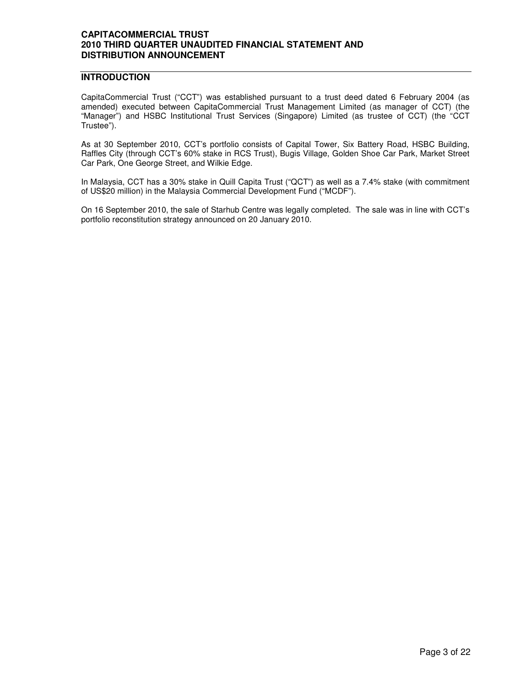# **INTRODUCTION**

CapitaCommercial Trust ("CCT") was established pursuant to a trust deed dated 6 February 2004 (as amended) executed between CapitaCommercial Trust Management Limited (as manager of CCT) (the "Manager") and HSBC Institutional Trust Services (Singapore) Limited (as trustee of CCT) (the "CCT Trustee").

As at 30 September 2010, CCT's portfolio consists of Capital Tower, Six Battery Road, HSBC Building, Raffles City (through CCT's 60% stake in RCS Trust), Bugis Village, Golden Shoe Car Park, Market Street Car Park, One George Street, and Wilkie Edge.

In Malaysia, CCT has a 30% stake in Quill Capita Trust ("QCT") as well as a 7.4% stake (with commitment of US\$20 million) in the Malaysia Commercial Development Fund ("MCDF").

On 16 September 2010, the sale of Starhub Centre was legally completed. The sale was in line with CCT's portfolio reconstitution strategy announced on 20 January 2010.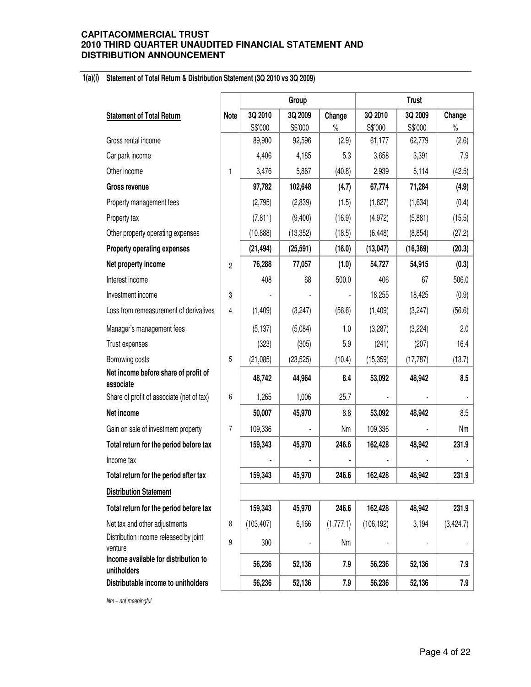#### **1(a)(i) Statement of Total Return & Distribution Statement (3Q 2010 vs 3Q 2009)**

|                                                     |             |            | Group     |           | <b>Trust</b> |           |           |  |
|-----------------------------------------------------|-------------|------------|-----------|-----------|--------------|-----------|-----------|--|
| <b>Statement of Total Return</b>                    | <b>Note</b> | 3Q 2010    | 3Q 2009   | Change    | 3Q 2010      | 3Q 2009   | Change    |  |
| Gross rental income                                 |             | S\$'000    | S\$'000   | $\%$      | S\$'000      | S\$'000   | $\%$      |  |
|                                                     |             | 89,900     | 92,596    | (2.9)     | 61,177       | 62,779    | (2.6)     |  |
| Car park income                                     |             | 4,406      | 4,185     | 5.3       | 3,658        | 3,391     | 7.9       |  |
| Other income                                        | 1           | 3,476      | 5,867     | (40.8)    | 2,939        | 5,114     | (42.5)    |  |
| Gross revenue                                       |             | 97,782     | 102,648   | (4.7)     | 67,774       | 71,284    | (4.9)     |  |
| Property management fees                            |             | (2,795)    | (2,839)   | (1.5)     | (1,627)      | (1,634)   | (0.4)     |  |
| Property tax                                        |             | (7, 811)   | (9,400)   | (16.9)    | (4, 972)     | (5,881)   | (15.5)    |  |
| Other property operating expenses                   |             | (10, 888)  | (13, 352) | (18.5)    | (6, 448)     | (8, 854)  | (27.2)    |  |
| <b>Property operating expenses</b>                  |             | (21, 494)  | (25, 591) | (16.0)    | (13,047)     | (16, 369) | (20.3)    |  |
| Net property income                                 | 2           | 76,288     | 77,057    | (1.0)     | 54,727       | 54,915    | (0.3)     |  |
| Interest income                                     |             | 408        | 68        | 500.0     | 406          | 67        | 506.0     |  |
| Investment income                                   | 3           |            |           |           | 18,255       | 18,425    | (0.9)     |  |
| Loss from remeasurement of derivatives              | 4           | (1,409)    | (3,247)   | (56.6)    | (1,409)      | (3,247)   | (56.6)    |  |
| Manager's management fees                           |             | (5, 137)   | (5,084)   | 1.0       | (3,287)      | (3,224)   | 2.0       |  |
| Trust expenses                                      |             | (323)      | (305)     | 5.9       | (241)        | (207)     | 16.4      |  |
| Borrowing costs                                     | 5           | (21,085)   | (23, 525) | (10.4)    | (15, 359)    | (17, 787) | (13.7)    |  |
| Net income before share of profit of<br>associate   |             | 48,742     | 44,964    | 8.4       | 53,092       | 48,942    | 8.5       |  |
| Share of profit of associate (net of tax)           | 6           | 1,265      | 1,006     | 25.7      |              |           |           |  |
| Net income                                          |             | 50,007     | 45,970    | 8.8       | 53,092       | 48,942    | 8.5       |  |
| Gain on sale of investment property                 | 7           | 109,336    |           | Nm        | 109,336      |           | Nm        |  |
| Total return for the period before tax              |             | 159,343    | 45,970    | 246.6     | 162,428      | 48,942    | 231.9     |  |
| Income tax                                          |             |            |           |           |              |           |           |  |
| Total return for the period after tax               |             | 159,343    | 45,970    | 246.6     | 162,428      | 48,942    | 231.9     |  |
| <b>Distribution Statement</b>                       |             |            |           |           |              |           |           |  |
| Total return for the period before tax              |             | 159,343    | 45,970    | 246.6     | 162,428      | 48,942    | 231.9     |  |
| Net tax and other adjustments                       | 8           | (103, 407) | 6,166     | (1,777.1) | (106, 192)   | 3,194     | (3,424.7) |  |
| Distribution income released by joint<br>venture    | 9           | 300        |           | Nm        |              |           |           |  |
| Income available for distribution to<br>unitholders |             | 56,236     | 52,136    | 7.9       | 56,236       | 52,136    | 7.9       |  |
| Distributable income to unitholders                 |             | 56,236     | 52,136    | 7.9       | 56,236       | 52,136    | 7.9       |  |

Nm – not meaningful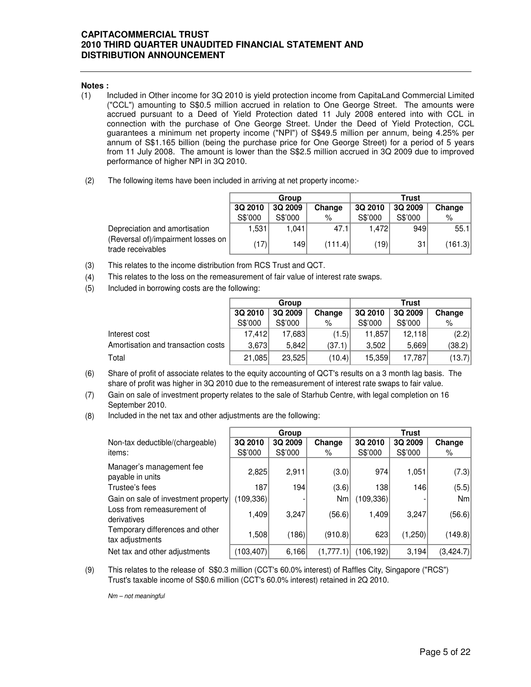### **Notes :**

- (1) Included in Other income for 3Q 2010 is yield protection income from CapitaLand Commercial Limited ("CCL") amounting to S\$0.5 million accrued in relation to One George Street. The amounts were accrued pursuant to a Deed of Yield Protection dated 11 July 2008 entered into with CCL in connection with the purchase of One George Street. Under the Deed of Yield Protection, CCL guarantees a minimum net property income ("NPI") of S\$49.5 million per annum, being 4.25% per annum of S\$1.165 billion (being the purchase price for One George Street) for a period of 5 years from 11 July 2008. The amount is lower than the S\$2.5 milIion accrued in 3Q 2009 due to improved performance of higher NPI in 3Q 2010.
- (2) The following items have been included in arriving at net property income:-

|                                                           |         | Group   |         | Trust   |         |         |  |
|-----------------------------------------------------------|---------|---------|---------|---------|---------|---------|--|
|                                                           | 3Q 2010 | 3Q 2009 | Change  | 3Q 2010 | 3Q 2009 | Change  |  |
|                                                           | S\$'000 | S\$'000 | %       | S\$'000 | S\$'000 | %       |  |
| Depreciation and amortisation                             | 1.531   | 1.041   | 47.1    | 1.472   | 949     | 55.1    |  |
| (Reversal of)/impairment losses on  <br>trade receivables | (17)    | 149     | (111.4) | (19)    | 31      | (161.3) |  |

- (3) This relates to the income distribution from RCS Trust and QCT.
- (4) This relates to the loss on the remeasurement of fair value of interest rate swaps.
- (5) Included in borrowing costs are the following:

|                                    |         | Group   |        | Trust   |         |        |  |
|------------------------------------|---------|---------|--------|---------|---------|--------|--|
|                                    | 3Q 2010 | 3Q 2009 | Change | 3Q 2010 | 3Q 2009 | Change |  |
|                                    | S\$'000 | S\$'000 | %      | S\$'000 | S\$'000 | $\%$   |  |
| Interest cost                      | 17.412  | 17,683  | (1.5)  | 11,857  | 12.118  | (2.2)  |  |
| Amortisation and transaction costs | 3,673   | 5.842   | (37.1) | 3,502   | 5,669   | (38.2) |  |
| Total                              | 21,085  | 23.525  | (10.4) | 15.359  | 17.787  | (13.7) |  |

- (6) Share of profit of associate relates to the equity accounting of QCT's results on a 3 month lag basis. The share of profit was higher in 3Q 2010 due to the remeasurement of interest rate swaps to fair value.
- (7) Gain on sale of investment property relates to the sale of Starhub Centre, with legal completion on 16 September 2010.
- (8) Included in the net tax and other adjustments are the following:

|                                                    |            | Group   |           |            | <b>Trust</b> |            |  |  |
|----------------------------------------------------|------------|---------|-----------|------------|--------------|------------|--|--|
| Non-tax deductible/(chargeable)                    | 3Q 2010    | 3Q 2009 | Change    | 3Q 2010    | 3Q 2009      | Change     |  |  |
| items:                                             | S\$'000    | S\$'000 | %         | S\$'000    | S\$'000      | %          |  |  |
| Manager's management fee<br>payable in units       | 2,825      | 2,911   | (3.0)     | 974        | 1,051        | (7.3)      |  |  |
| Trustee's fees                                     | 187        | 194     | (3.6)     | 138        | 146          | (5.5)      |  |  |
| Gain on sale of investment property                | (109,336)  |         | Nm        | (109,336)  |              | Nm         |  |  |
| Loss from remeasurement of<br>derivatives          | 1,409      | 3,247   | (56.6)    | 1,409      | 3,247        | (56.6)     |  |  |
| Temporary differences and other<br>tax adjustments | 1,508      | (186)   | (910.8)   | 623        | (1,250)      | (149.8)    |  |  |
| Net tax and other adjustments                      | (103, 407) | 6,166   | (1,777.1) | (106, 192) | 3,194        | (3, 424.7) |  |  |

(9) This relates to the release of S\$0.3 million (CCT's 60.0% interest) of Raffles City, Singapore ("RCS") Trust's taxable income of S\$0.6 million (CCT's 60.0% interest) retained in 2Q 2010.

Nm – not meaningful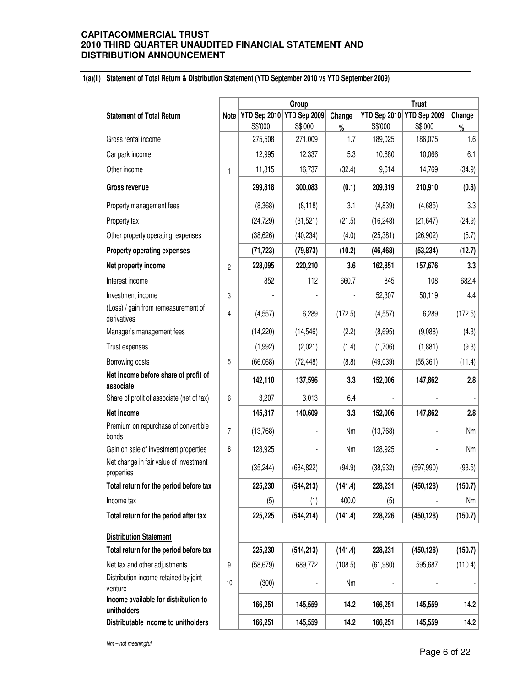#### **1(a)(ii) Statement of Total Return & Distribution Statement (YTD September 2010 vs YTD September 2009)**

|                                                      |                |                     | Group        |         | <b>Trust</b>              |            |         |  |
|------------------------------------------------------|----------------|---------------------|--------------|---------|---------------------------|------------|---------|--|
| <b>Statement of Total Return</b>                     |                | Note   YTD Sep 2010 | YTD Sep 2009 | Change  | YTD Sep 2010 YTD Sep 2009 |            | Change  |  |
|                                                      |                | S\$'000             | S\$'000      | $\%$    | S\$'000                   | S\$'000    | $\%$    |  |
| Gross rental income                                  |                | 275,508             | 271,009      | 1.7     | 189,025                   | 186,075    | 1.6     |  |
| Car park income                                      |                | 12,995              | 12,337       | 5.3     | 10,680                    | 10,066     | 6.1     |  |
| Other income                                         | $\mathbf{1}$   | 11,315              | 16,737       | (32.4)  | 9,614                     | 14,769     | (34.9)  |  |
| <b>Gross revenue</b>                                 |                | 299,818             | 300,083      | (0.1)   | 209,319                   | 210,910    | (0.8)   |  |
| Property management fees                             |                | (8,368)             | (8, 118)     | 3.1     | (4,839)                   | (4,685)    | 3.3     |  |
| Property tax                                         |                | (24, 729)           | (31, 521)    | (21.5)  | (16, 248)                 | (21, 647)  | (24.9)  |  |
| Other property operating expenses                    |                | (38, 626)           | (40, 234)    | (4.0)   | (25, 381)                 | (26, 902)  | (5.7)   |  |
| Property operating expenses                          |                | (71, 723)           | (79, 873)    | (10.2)  | (46, 468)                 | (53, 234)  | (12.7)  |  |
| Net property income                                  | $\overline{c}$ | 228,095             | 220,210      | 3.6     | 162,851                   | 157,676    | 3.3     |  |
| Interest income                                      |                | 852                 | 112          | 660.7   | 845                       | 108        | 682.4   |  |
| Investment income                                    | 3              |                     |              |         | 52,307                    | 50,119     | 4.4     |  |
| (Loss) / gain from remeasurement of<br>derivatives   | 4              | (4, 557)            | 6,289        | (172.5) | (4, 557)                  | 6,289      | (172.5) |  |
| Manager's management fees                            |                | (14, 220)           | (14, 546)    | (2.2)   | (8,695)                   | (9,088)    | (4.3)   |  |
| Trust expenses                                       |                | (1,992)             | (2,021)      | (1.4)   | (1,706)                   | (1,881)    | (9.3)   |  |
| Borrowing costs                                      | 5              | (66,068)            | (72, 448)    | (8.8)   | (49, 039)                 | (55, 361)  | (11.4)  |  |
| Net income before share of profit of<br>associate    |                | 142,110             | 137,596      | 3.3     | 152,006                   | 147,862    | 2.8     |  |
| Share of profit of associate (net of tax)            | 6              | 3,207               | 3,013        | 6.4     |                           |            |         |  |
| Net income                                           |                | 145,317             | 140,609      | 3.3     | 152,006                   | 147,862    | 2.8     |  |
| Premium on repurchase of convertible<br>bonds        | $\overline{7}$ | (13,768)            |              | Nm      | (13,768)                  |            | Nm      |  |
| Gain on sale of investment properties                | 8              | 128,925             |              | Nm      | 128,925                   |            | Nm      |  |
| Net change in fair value of investment<br>properties |                | (35, 244)           | (684, 822)   | (94.9)  | (38, 932)                 | (597, 990) | (93.5)  |  |
| Total return for the period before tax               |                | 225,230             | (544, 213)   | (141.4) | 228,231                   | (450, 128) | (150.7) |  |
| Income tax                                           |                | (5)                 | (1)          | 400.0   | (5)                       |            | Nm      |  |
| Total return for the period after tax                |                | 225,225             | (544, 214)   | (141.4) | 228,226                   | (450, 128) | (150.7) |  |
| <b>Distribution Statement</b>                        |                |                     |              |         |                           |            |         |  |
| Total return for the period before tax               |                | 225,230             | (544, 213)   | (141.4) | 228,231                   | (450, 128) | (150.7) |  |
| Net tax and other adjustments                        | 9              | (58, 679)           | 689,772      | (108.5) | (61,980)                  | 595,687    | (110.4) |  |
| Distribution income retained by joint<br>venture     | 10             | (300)               |              | Nm      |                           |            |         |  |
| Income available for distribution to<br>unitholders  |                | 166,251             | 145,559      | 14.2    | 166,251                   | 145,559    | 14.2    |  |
| Distributable income to unitholders                  |                | 166,251             | 145,559      | 14.2    | 166,251                   | 145,559    | 14.2    |  |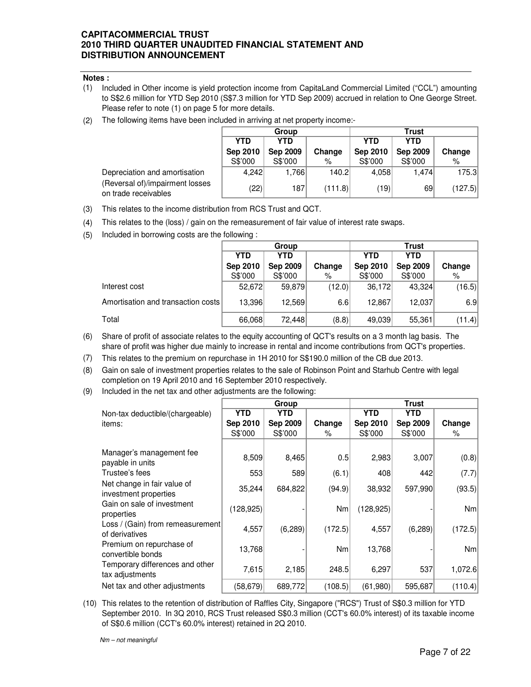#### **Notes :**

- (1) Included in Other income is yield protection income from CapitaLand Commercial Limited ("CCL") amounting to S\$2.6 million for YTD Sep 2010 (S\$7.3 million for YTD Sep 2009) accrued in relation to One George Street. Please refer to note (1) on page 5 for more details.
- (2) The following items have been included in arriving at net property income:-

|                                                         |          | Group    |         | <b>Trust</b>      |                 |         |  |
|---------------------------------------------------------|----------|----------|---------|-------------------|-----------------|---------|--|
|                                                         | YTD      | YTD      |         | YTD<br><b>YTD</b> |                 |         |  |
|                                                         | Sep 2010 | Sep 2009 | Change  | Sep 2010          | <b>Sep 2009</b> | Change  |  |
|                                                         | S\$'000  | S\$'000  | $\%$    | S\$'000           | S\$'000         | $\%$    |  |
| Depreciation and amortisation                           | 4.242    | 1.766    | 140.2   | 4.058             | 1.474           | 175.3   |  |
| (Reversal of)/impairment losses<br>on trade receivables | (22)     | 187      | (111.8) | (19)              | 69              | (127.5) |  |

- (3) This relates to the income distribution from RCS Trust and QCT.
- (4) This relates to the (loss) / gain on the remeasurement of fair value of interest rate swaps.
- (5) Included in borrowing costs are the following :

|                                    |            | Group           |        | <b>Trust</b> |                 |        |  |
|------------------------------------|------------|-----------------|--------|--------------|-----------------|--------|--|
|                                    | <b>YTD</b> | YTD             |        | <b>YTD</b>   | YTD             |        |  |
|                                    | Sep 2010   | <b>Sep 2009</b> | Change | Sep 2010     | <b>Sep 2009</b> | Change |  |
|                                    | S\$'000    | S\$'000         | %      | S\$'000      | S\$'000         | %      |  |
| Interest cost                      | 52,672     | 59,879          | (12.0) | 36,172       | 43,324          | (16.5) |  |
| Amortisation and transaction costs | 13,396     | 12.569          | 6.6    | 12.867       | 12,037          | 6.9    |  |
| Total                              | 66,068     | 72,448          | (8.8)  | 49,039       | 55,361          | (11.4) |  |

(6) Share of profit of associate relates to the equity accounting of QCT's results on a 3 month lag basis. The share of profit was higher due mainly to increase in rental and income contributions from QCT's properties.

- (7) This relates to the premium on repurchase in 1H 2010 for S\$190.0 million of the CB due 2013.
- (8) Gain on sale of investment properties relates to the sale of Robinson Point and Starhub Centre with legal completion on 19 April 2010 and 16 September 2010 respectively.
- (9) Included in the net tax and other adjustments are the following:

|                                                      |            | Group      |         | <b>Trust</b> |            |                 |  |
|------------------------------------------------------|------------|------------|---------|--------------|------------|-----------------|--|
| Non-tax deductible/(chargeable)                      | YTD        | <b>YTD</b> |         | <b>YTD</b>   | <b>YTD</b> |                 |  |
| items:                                               | Sep 2010   | Sep 2009   | Change  | Sep 2010     | Sep 2009   | Change          |  |
|                                                      | S\$'000    | S\$'000    | ℅       | S\$'000      | S\$'000    | ℅               |  |
| Manager's management fee<br>payable in units         | 8,509      | 8,465      | 0.5     | 2,983        | 3,007      | (0.8)           |  |
| Trustee's fees                                       | 553        | 589        | (6.1)   | 408          | 442        | (7.7)           |  |
| Net change in fair value of<br>investment properties | 35,244     | 684,822    | (94.9)  | 38,932       | 597,990    | (93.5)          |  |
| Gain on sale of investment<br>properties             | (128, 925) |            | Nm      | (128, 925)   |            | Nm <sub>l</sub> |  |
| Loss / (Gain) from remeasurement<br>of derivatives   | 4,557      | (6, 289)   | (172.5) | 4,557        | (6, 289)   | (172.5)         |  |
| Premium on repurchase of<br>convertible bonds        | 13,768     |            | Nm      | 13,768       |            | Nm <sub>l</sub> |  |
| Temporary differences and other<br>tax adjustments   | 7,615      | 2,185      | 248.5   | 6,297        | 537        | 1,072.6         |  |
| Net tax and other adjustments                        | (58, 679)  | 689,772    | (108.5) | (61,980)     | 595,687    | (110.4)         |  |

(10) This relates to the retention of distribution of Raffles City, Singapore ("RCS") Trust of S\$0.3 million for YTD September 2010. In 3Q 2010, RCS Trust released S\$0.3 million (CCT's 60.0% interest) of its taxable income of S\$0.6 million (CCT's 60.0% interest) retained in 2Q 2010.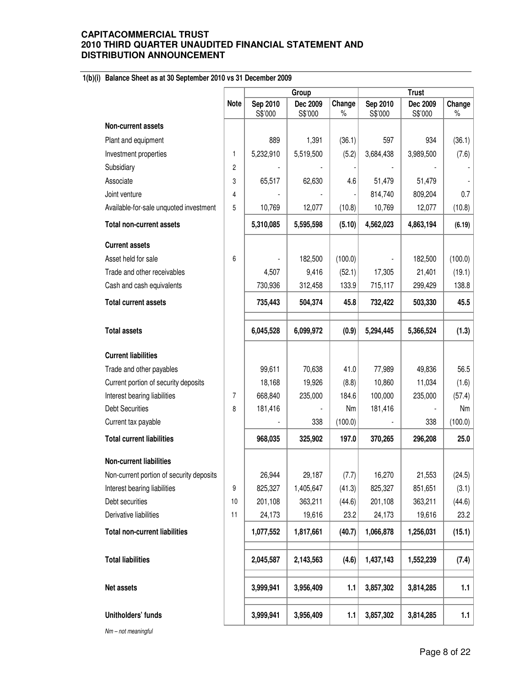# **1(b)(i) Balance Sheet as at 30 September 2010 vs 31 December 2009**

|                                          |             |                     | Group               |                |                     |                     |             |
|------------------------------------------|-------------|---------------------|---------------------|----------------|---------------------|---------------------|-------------|
|                                          | <b>Note</b> | Sep 2010<br>S\$'000 | Dec 2009<br>S\$'000 | Change<br>$\%$ | Sep 2010<br>S\$'000 | Dec 2009<br>S\$'000 | Change<br>% |
| Non-current assets                       |             |                     |                     |                |                     |                     |             |
| Plant and equipment                      |             | 889                 | 1,391               | (36.1)         | 597                 | 934                 | (36.1)      |
| Investment properties                    | 1           | 5,232,910           | 5,519,500           | (5.2)          | 3,684,438           | 3,989,500           | (7.6)       |
| Subsidiary                               | 2           |                     |                     |                |                     |                     |             |
| Associate                                | 3           | 65,517              | 62,630              | 4.6            | 51,479              | 51,479              |             |
| Joint venture                            | 4           |                     |                     |                | 814,740             | 809,204             | 0.7         |
| Available-for-sale unquoted investment   | 5           | 10,769              | 12,077              | (10.8)         | 10,769              | 12,077              | (10.8)      |
| <b>Total non-current assets</b>          |             | 5,310,085           | 5,595,598           | (5.10)         | 4,562,023           | 4,863,194           | (6.19)      |
| <b>Current assets</b>                    |             |                     |                     |                |                     |                     |             |
| Asset held for sale                      | 6           |                     | 182,500             | (100.0)        |                     | 182,500             | (100.0)     |
| Trade and other receivables              |             | 4,507               | 9,416               | (52.1)         | 17,305              | 21,401              | (19.1)      |
| Cash and cash equivalents                |             | 730,936             | 312,458             | 133.9          | 715,117             | 299,429             | 138.8       |
| <b>Total current assets</b>              |             | 735,443             | 504,374             | 45.8           | 732,422             | 503,330             | 45.5        |
|                                          |             |                     |                     |                |                     |                     |             |
| <b>Total assets</b>                      |             | 6,045,528           | 6,099,972           | (0.9)          | 5,294,445           | 5,366,524           | (1.3)       |
| <b>Current liabilities</b>               |             |                     |                     |                |                     |                     |             |
| Trade and other payables                 |             | 99,611              | 70,638              | 41.0           | 77,989              | 49,836              | 56.5        |
| Current portion of security deposits     |             | 18,168              | 19,926              | (8.8)          | 10,860              | 11,034              | (1.6)       |
| Interest bearing liabilities             | 7           | 668,840             | 235,000             | 184.6          | 100,000             | 235,000             | (57.4)      |
| <b>Debt Securities</b>                   | 8           | 181,416             |                     | Nm             | 181,416             |                     | Nm          |
| Current tax payable                      |             |                     | 338                 | (100.0)        |                     | 338                 | (100.0)     |
| <b>Total current liabilities</b>         |             | 968,035             | 325,902             | 197.0          | 370,265             | 296,208             | 25.0        |
| <b>Non-current liabilities</b>           |             |                     |                     |                |                     |                     |             |
| Non-current portion of security deposits |             | 26,944              | 29,187              | (7.7)          | 16,270              | 21,553              | (24.5)      |
| Interest bearing liabilities             | 9           | 825,327             | 1,405,647           | (41.3)         | 825,327             | 851,651             | (3.1)       |
| Debt securities                          | 10          | 201,108             | 363,211             | (44.6)         | 201,108             | 363,211             | (44.6)      |
| Derivative liabilities                   | 11          | 24,173              | 19,616              | 23.2           | 24,173              | 19,616              | 23.2        |
| <b>Total non-current liabilities</b>     |             | 1,077,552           | 1,817,661           | (40.7)         | 1,066,878           | 1,256,031           | (15.1)      |
| <b>Total liabilities</b>                 |             | 2,045,587           | 2,143,563           | (4.6)          | 1,437,143           | 1,552,239           | (7.4)       |
| Net assets                               |             | 3,999,941           | 3,956,409           | 1.1            | 3,857,302           | 3,814,285           | 1.1         |
| Unitholders' funds                       |             | 3,999,941           | 3,956,409           | 1.1            | 3,857,302           | 3,814,285           | 1.1         |

Nm – not meaningful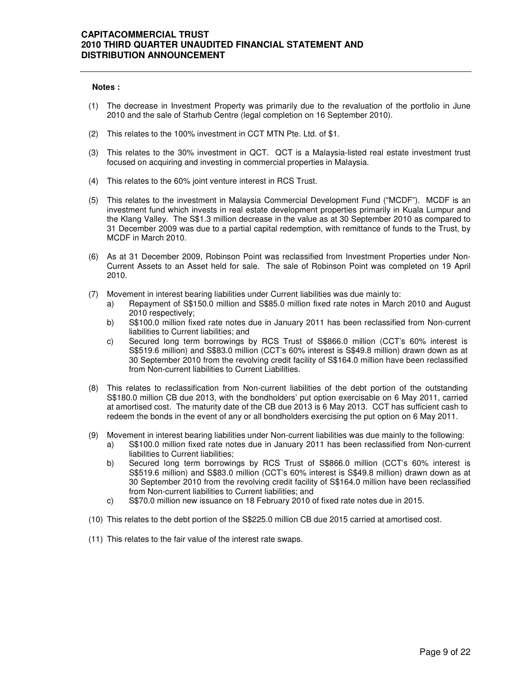#### **Notes :**

- (1) The decrease in Investment Property was primarily due to the revaluation of the portfolio in June 2010 and the sale of Starhub Centre (legal completion on 16 September 2010).
- (2) This relates to the 100% investment in CCT MTN Pte. Ltd. of \$1.
- (3) This relates to the 30% investment in QCT. QCT is a Malaysia-listed real estate investment trust focused on acquiring and investing in commercial properties in Malaysia.
- (4) This relates to the 60% joint venture interest in RCS Trust.
- (5) This relates to the investment in Malaysia Commercial Development Fund ("MCDF"). MCDF is an investment fund which invests in real estate development properties primarily in Kuala Lumpur and the Klang Valley. The S\$1.3 million decrease in the value as at 30 September 2010 as compared to 31 December 2009 was due to a partial capital redemption, with remittance of funds to the Trust, by MCDF in March 2010.
- (6) As at 31 December 2009, Robinson Point was reclassified from Investment Properties under Non-Current Assets to an Asset held for sale. The sale of Robinson Point was completed on 19 April 2010.
- (7) Movement in interest bearing liabilities under Current liabilities was due mainly to:
	- a) Repayment of S\$150.0 million and S\$85.0 million fixed rate notes in March 2010 and August 2010 respectively;
	- b) S\$100.0 million fixed rate notes due in January 2011 has been reclassified from Non-current liabilities to Current liabilities; and
	- c) Secured long term borrowings by RCS Trust of S\$866.0 million (CCT's 60% interest is S\$519.6 million) and S\$83.0 million (CCT's 60% interest is S\$49.8 million) drawn down as at 30 September 2010 from the revolving credit facility of S\$164.0 million have been reclassified from Non-current liabilities to Current Liabilities.
- (8) This relates to reclassification from Non-current liabilities of the debt portion of the outstanding S\$180.0 million CB due 2013, with the bondholders' put option exercisable on 6 May 2011, carried at amortised cost. The maturity date of the CB due 2013 is 6 May 2013. CCT has sufficient cash to redeem the bonds in the event of any or all bondholders exercising the put option on 6 May 2011.
- (9) Movement in interest bearing liabilities under Non-current liabilities was due mainly to the following:
	- a) S\$100.0 million fixed rate notes due in January 2011 has been reclassified from Non-current liabilities to Current liabilities;
	- b) Secured long term borrowings by RCS Trust of S\$866.0 million (CCT's 60% interest is S\$519.6 million) and S\$83.0 million (CCT's 60% interest is S\$49.8 million) drawn down as at 30 September 2010 from the revolving credit facility of S\$164.0 million have been reclassified from Non-current liabilities to Current liabilities; and
	- c) S\$70.0 million new issuance on 18 February 2010 of fixed rate notes due in 2015.
- (10) This relates to the debt portion of the S\$225.0 million CB due 2015 carried at amortised cost.
- (11) This relates to the fair value of the interest rate swaps.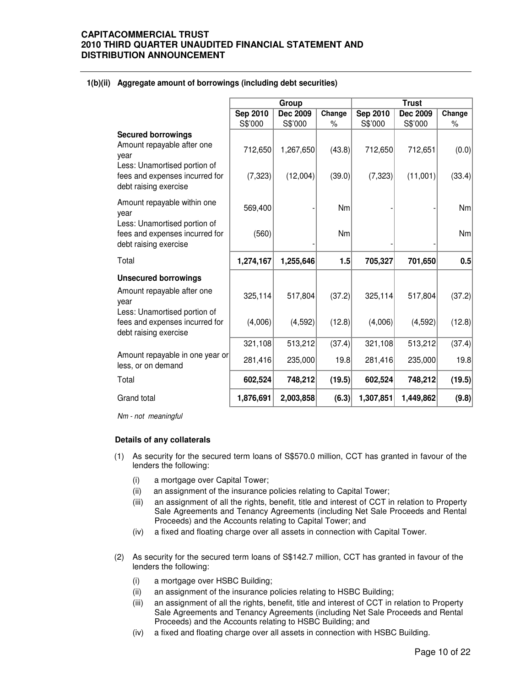|                                                                                                                                                            |                     | Group                 |                  | <b>Trust</b>        |                     |                 |  |
|------------------------------------------------------------------------------------------------------------------------------------------------------------|---------------------|-----------------------|------------------|---------------------|---------------------|-----------------|--|
|                                                                                                                                                            | Sep 2010            | Dec 2009              | Change           | Sep 2010            | Dec 2009            | Change          |  |
|                                                                                                                                                            | S\$'000             | S\$'000               | $\%$             | S\$'000             | S\$'000             | $\%$            |  |
| <b>Secured borrowings</b><br>Amount repayable after one<br>year<br>Less: Unamortised portion of<br>fees and expenses incurred for<br>debt raising exercise | 712,650<br>(7, 323) | 1,267,650<br>(12,004) | (43.8)<br>(39.0) | 712,650<br>(7, 323) | 712,651<br>(11,001) | (0.0)<br>(33.4) |  |
| Amount repayable within one<br>year                                                                                                                        | 569,400             |                       | Nm               |                     |                     | <b>Nm</b>       |  |
| Less: Unamortised portion of<br>fees and expenses incurred for<br>debt raising exercise                                                                    | (560)               |                       | Nm               |                     |                     | <b>Nm</b>       |  |
| Total                                                                                                                                                      | 1,274,167           | 1,255,646             | 1.5              | 705,327             | 701,650             | 0.5             |  |
| <b>Unsecured borrowings</b>                                                                                                                                |                     |                       |                  |                     |                     |                 |  |
| Amount repayable after one<br>vear                                                                                                                         | 325,114             | 517,804               | (37.2)           | 325,114             | 517,804             | (37.2)          |  |
| Less: Unamortised portion of<br>fees and expenses incurred for<br>debt raising exercise                                                                    | (4,006)             | (4,592)               | (12.8)           | (4,006)             | (4,592)             | (12.8)          |  |
|                                                                                                                                                            | 321,108             | 513,212               | (37.4)           | 321,108             | 513,212             | (37.4)          |  |
| Amount repayable in one year or<br>less, or on demand                                                                                                      | 281,416             | 235,000               | 19.8             | 281,416             | 235,000             | 19.8            |  |
| Total                                                                                                                                                      | 602,524             | 748,212               | (19.5)           | 602,524             | 748,212             | (19.5)          |  |
| Grand total                                                                                                                                                | 1,876,691           | 2,003,858             | (6.3)            | 1,307,851           | 1,449,862           | (9.8)           |  |

### **1(b)(ii) Aggregate amount of borrowings (including debt securities)**

Nm - not meaningful

### **Details of any collaterals**

- (1) As security for the secured term loans of S\$570.0 million, CCT has granted in favour of the lenders the following:
	- (i) a mortgage over Capital Tower;
	- (ii) an assignment of the insurance policies relating to Capital Tower;
	- (iii) an assignment of all the rights, benefit, title and interest of CCT in relation to Property Sale Agreements and Tenancy Agreements (including Net Sale Proceeds and Rental Proceeds) and the Accounts relating to Capital Tower; and
	- (iv) a fixed and floating charge over all assets in connection with Capital Tower.
- (2) As security for the secured term loans of S\$142.7 million, CCT has granted in favour of the lenders the following:
	- (i) a mortgage over HSBC Building;
	- (ii) an assignment of the insurance policies relating to HSBC Building;
	- (iii) an assignment of all the rights, benefit, title and interest of CCT in relation to Property Sale Agreements and Tenancy Agreements (including Net Sale Proceeds and Rental Proceeds) and the Accounts relating to HSBC Building; and
	- (iv) a fixed and floating charge over all assets in connection with HSBC Building.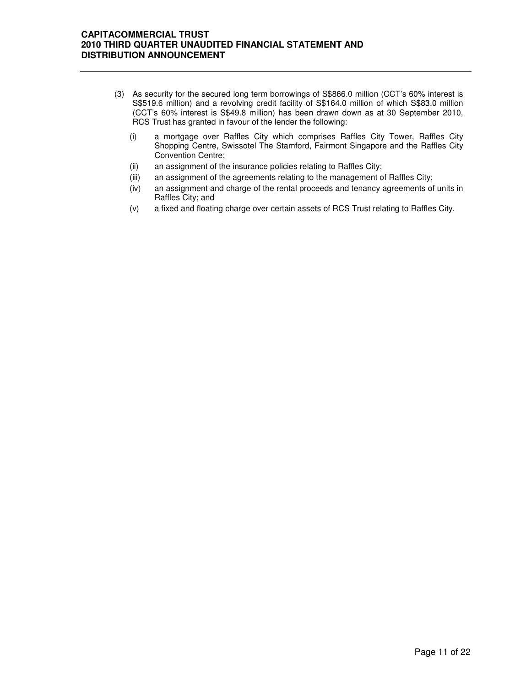- (3) As security for the secured long term borrowings of S\$866.0 million (CCT's 60% interest is S\$519.6 million) and a revolving credit facility of S\$164.0 million of which S\$83.0 million (CCT's 60% interest is S\$49.8 million) has been drawn down as at 30 September 2010, RCS Trust has granted in favour of the lender the following:
	- (i) a mortgage over Raffles City which comprises Raffles City Tower, Raffles City Shopping Centre, Swissotel The Stamford, Fairmont Singapore and the Raffles City Convention Centre;
	- (ii) an assignment of the insurance policies relating to Raffles City;
	- (iii) an assignment of the agreements relating to the management of Raffles City;
	- (iv) an assignment and charge of the rental proceeds and tenancy agreements of units in Raffles City; and
	- (v) a fixed and floating charge over certain assets of RCS Trust relating to Raffles City.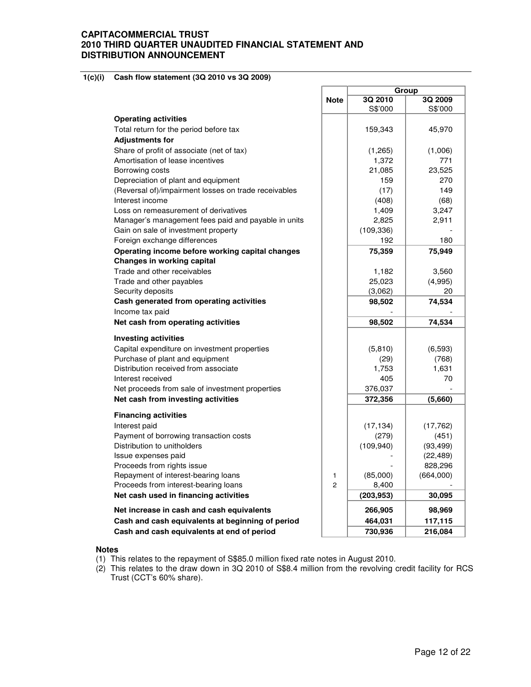#### **1(c)(i) Cash flow statement (3Q 2010 vs 3Q 2009)**

| 3Q 2010<br>3Q 2009<br><b>Note</b><br>S\$'000<br>S\$'000<br><b>Operating activities</b><br>Total return for the period before tax<br>159,343<br>45,970<br><b>Adjustments for</b><br>Share of profit of associate (net of tax)<br>(1,265)<br>(1,006)<br>Amortisation of lease incentives<br>771<br>1,372<br>23,525<br>Borrowing costs<br>21,085<br>Depreciation of plant and equipment<br>159<br>270<br>149<br>(Reversal of)/impairment losses on trade receivables<br>(17)<br>Interest income<br>(408)<br>(68)<br>Loss on remeasurement of derivatives<br>1,409<br>3,247<br>2,825<br>Manager's management fees paid and payable in units<br>2,911<br>(109, 336)<br>Gain on sale of investment property<br>Foreign exchange differences<br>180<br>192<br>75,359<br>75,949<br>Operating income before working capital changes<br>Changes in working capital<br>Trade and other receivables<br>1,182<br>3,560 |
|-----------------------------------------------------------------------------------------------------------------------------------------------------------------------------------------------------------------------------------------------------------------------------------------------------------------------------------------------------------------------------------------------------------------------------------------------------------------------------------------------------------------------------------------------------------------------------------------------------------------------------------------------------------------------------------------------------------------------------------------------------------------------------------------------------------------------------------------------------------------------------------------------------------|
|                                                                                                                                                                                                                                                                                                                                                                                                                                                                                                                                                                                                                                                                                                                                                                                                                                                                                                           |
|                                                                                                                                                                                                                                                                                                                                                                                                                                                                                                                                                                                                                                                                                                                                                                                                                                                                                                           |
|                                                                                                                                                                                                                                                                                                                                                                                                                                                                                                                                                                                                                                                                                                                                                                                                                                                                                                           |
|                                                                                                                                                                                                                                                                                                                                                                                                                                                                                                                                                                                                                                                                                                                                                                                                                                                                                                           |
|                                                                                                                                                                                                                                                                                                                                                                                                                                                                                                                                                                                                                                                                                                                                                                                                                                                                                                           |
|                                                                                                                                                                                                                                                                                                                                                                                                                                                                                                                                                                                                                                                                                                                                                                                                                                                                                                           |
|                                                                                                                                                                                                                                                                                                                                                                                                                                                                                                                                                                                                                                                                                                                                                                                                                                                                                                           |
|                                                                                                                                                                                                                                                                                                                                                                                                                                                                                                                                                                                                                                                                                                                                                                                                                                                                                                           |
|                                                                                                                                                                                                                                                                                                                                                                                                                                                                                                                                                                                                                                                                                                                                                                                                                                                                                                           |
|                                                                                                                                                                                                                                                                                                                                                                                                                                                                                                                                                                                                                                                                                                                                                                                                                                                                                                           |
|                                                                                                                                                                                                                                                                                                                                                                                                                                                                                                                                                                                                                                                                                                                                                                                                                                                                                                           |
|                                                                                                                                                                                                                                                                                                                                                                                                                                                                                                                                                                                                                                                                                                                                                                                                                                                                                                           |
|                                                                                                                                                                                                                                                                                                                                                                                                                                                                                                                                                                                                                                                                                                                                                                                                                                                                                                           |
|                                                                                                                                                                                                                                                                                                                                                                                                                                                                                                                                                                                                                                                                                                                                                                                                                                                                                                           |
|                                                                                                                                                                                                                                                                                                                                                                                                                                                                                                                                                                                                                                                                                                                                                                                                                                                                                                           |
|                                                                                                                                                                                                                                                                                                                                                                                                                                                                                                                                                                                                                                                                                                                                                                                                                                                                                                           |
|                                                                                                                                                                                                                                                                                                                                                                                                                                                                                                                                                                                                                                                                                                                                                                                                                                                                                                           |
|                                                                                                                                                                                                                                                                                                                                                                                                                                                                                                                                                                                                                                                                                                                                                                                                                                                                                                           |
| Trade and other payables<br>25,023<br>(4,995)                                                                                                                                                                                                                                                                                                                                                                                                                                                                                                                                                                                                                                                                                                                                                                                                                                                             |
| 20<br>Security deposits<br>(3,062)                                                                                                                                                                                                                                                                                                                                                                                                                                                                                                                                                                                                                                                                                                                                                                                                                                                                        |
| Cash generated from operating activities<br>74,534<br>98,502                                                                                                                                                                                                                                                                                                                                                                                                                                                                                                                                                                                                                                                                                                                                                                                                                                              |
| Income tax paid                                                                                                                                                                                                                                                                                                                                                                                                                                                                                                                                                                                                                                                                                                                                                                                                                                                                                           |
| Net cash from operating activities<br>98,502<br>74,534                                                                                                                                                                                                                                                                                                                                                                                                                                                                                                                                                                                                                                                                                                                                                                                                                                                    |
| <b>Investing activities</b>                                                                                                                                                                                                                                                                                                                                                                                                                                                                                                                                                                                                                                                                                                                                                                                                                                                                               |
| Capital expenditure on investment properties<br>(5, 810)<br>(6, 593)                                                                                                                                                                                                                                                                                                                                                                                                                                                                                                                                                                                                                                                                                                                                                                                                                                      |
| Purchase of plant and equipment<br>(768)<br>(29)                                                                                                                                                                                                                                                                                                                                                                                                                                                                                                                                                                                                                                                                                                                                                                                                                                                          |
| Distribution received from associate<br>1,631<br>1,753                                                                                                                                                                                                                                                                                                                                                                                                                                                                                                                                                                                                                                                                                                                                                                                                                                                    |
| 405<br>70<br>Interest received                                                                                                                                                                                                                                                                                                                                                                                                                                                                                                                                                                                                                                                                                                                                                                                                                                                                            |
| Net proceeds from sale of investment properties<br>376,037                                                                                                                                                                                                                                                                                                                                                                                                                                                                                                                                                                                                                                                                                                                                                                                                                                                |
| (5,660)<br>Net cash from investing activities<br>372,356                                                                                                                                                                                                                                                                                                                                                                                                                                                                                                                                                                                                                                                                                                                                                                                                                                                  |
|                                                                                                                                                                                                                                                                                                                                                                                                                                                                                                                                                                                                                                                                                                                                                                                                                                                                                                           |
| <b>Financing activities</b>                                                                                                                                                                                                                                                                                                                                                                                                                                                                                                                                                                                                                                                                                                                                                                                                                                                                               |
| Interest paid<br>(17, 134)<br>(17, 762)                                                                                                                                                                                                                                                                                                                                                                                                                                                                                                                                                                                                                                                                                                                                                                                                                                                                   |
| Payment of borrowing transaction costs<br>(451)<br>(279)                                                                                                                                                                                                                                                                                                                                                                                                                                                                                                                                                                                                                                                                                                                                                                                                                                                  |
| Distribution to unitholders<br>(109, 940)<br>(93, 499)                                                                                                                                                                                                                                                                                                                                                                                                                                                                                                                                                                                                                                                                                                                                                                                                                                                    |
| Issue expenses paid<br>(22, 489)                                                                                                                                                                                                                                                                                                                                                                                                                                                                                                                                                                                                                                                                                                                                                                                                                                                                          |
| 828,296<br>Proceeds from rights issue<br>Repayment of interest-bearing loans<br>(85,000)<br>(664,000)<br>1                                                                                                                                                                                                                                                                                                                                                                                                                                                                                                                                                                                                                                                                                                                                                                                                |
| Proceeds from interest-bearing loans<br>$\overline{2}$<br>8,400                                                                                                                                                                                                                                                                                                                                                                                                                                                                                                                                                                                                                                                                                                                                                                                                                                           |
| Net cash used in financing activities<br>(203, 953)<br>30,095                                                                                                                                                                                                                                                                                                                                                                                                                                                                                                                                                                                                                                                                                                                                                                                                                                             |
| 266,905<br>98,969<br>Net increase in cash and cash equivalents                                                                                                                                                                                                                                                                                                                                                                                                                                                                                                                                                                                                                                                                                                                                                                                                                                            |
| 464,031<br>Cash and cash equivalents at beginning of period<br>117,115                                                                                                                                                                                                                                                                                                                                                                                                                                                                                                                                                                                                                                                                                                                                                                                                                                    |
| Cash and cash equivalents at end of period<br>730,936<br>216,084                                                                                                                                                                                                                                                                                                                                                                                                                                                                                                                                                                                                                                                                                                                                                                                                                                          |

#### **Notes**

- (1) This relates to the repayment of S\$85.0 million fixed rate notes in August 2010.
- (2) This relates to the draw down in 3Q 2010 of S\$8.4 million from the revolving credit facility for RCS Trust (CCT's 60% share).

**Group**

 $\overline{\phantom{0}}$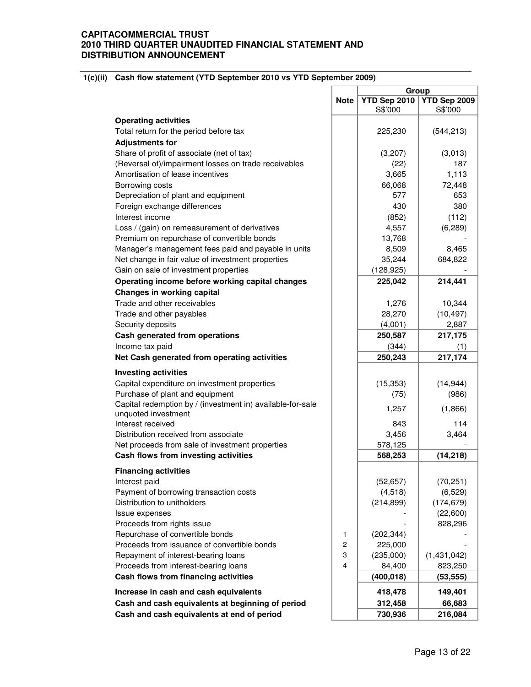#### **1(c)(ii) Cash flow statement (YTD September 2010 vs YTD September 2009)**

|                                                            |             | Group        |              |  |
|------------------------------------------------------------|-------------|--------------|--------------|--|
|                                                            | <b>Note</b> | YTD Sep 2010 | YTD Sep 2009 |  |
|                                                            |             | S\$'000      | S\$'000      |  |
| <b>Operating activities</b>                                |             |              |              |  |
| Total return for the period before tax                     |             | 225,230      | (544, 213)   |  |
| <b>Adjustments for</b>                                     |             |              |              |  |
| Share of profit of associate (net of tax)                  |             | (3,207)      | (3,013)      |  |
| (Reversal of)/impairment losses on trade receivables       |             | (22)         | 187          |  |
| Amortisation of lease incentives                           |             | 3,665        |              |  |
|                                                            |             |              | 1,113        |  |
| Borrowing costs                                            |             | 66,068       | 72,448       |  |
| Depreciation of plant and equipment                        |             | 577          | 653          |  |
| Foreign exchange differences                               |             | 430          | 380          |  |
| Interest income                                            |             | (852)        | (112)        |  |
| Loss / (gain) on remeasurement of derivatives              |             | 4,557        | (6,289)      |  |
| Premium on repurchase of convertible bonds                 |             | 13,768       |              |  |
| Manager's management fees paid and payable in units        |             | 8,509        | 8,465        |  |
| Net change in fair value of investment properties          |             | 35,244       | 684,822      |  |
| Gain on sale of investment properties                      |             | (128, 925)   |              |  |
| Operating income before working capital changes            |             | 225,042      | 214,441      |  |
| <b>Changes in working capital</b>                          |             |              |              |  |
| Trade and other receivables                                |             | 1,276        | 10,344       |  |
| Trade and other payables                                   |             | 28,270       | (10, 497)    |  |
| Security deposits                                          |             |              |              |  |
|                                                            |             | (4,001)      | 2,887        |  |
| Cash generated from operations                             |             | 250,587      | 217,175      |  |
| Income tax paid                                            |             | (344)        | (1)          |  |
| Net Cash generated from operating activities               |             | 250,243      | 217,174      |  |
| <b>Investing activities</b>                                |             |              |              |  |
| Capital expenditure on investment properties               |             | (15, 353)    | (14, 944)    |  |
| Purchase of plant and equipment                            |             | (75)         | (986)        |  |
| Capital redemption by / (investment in) available-for-sale |             |              |              |  |
| unquoted investment                                        |             | 1,257        | (1,866)      |  |
| Interest received                                          |             | 843          | 114          |  |
| Distribution received from associate                       |             | 3,456        | 3,464        |  |
| Net proceeds from sale of investment properties            |             | 578,125      |              |  |
|                                                            |             |              |              |  |
| Cash flows from investing activities                       |             | 568,253      | (14, 218)    |  |
| <b>Financing activities</b>                                |             |              |              |  |
| Interest paid                                              |             | (52, 657)    | (70, 251)    |  |
| Payment of borrowing transaction costs                     |             | (4, 518)     | (6, 529)     |  |
| Distribution to unitholders                                |             | (214, 899)   | (174, 679)   |  |
| Issue expenses                                             |             |              | (22,600)     |  |
| Proceeds from rights issue                                 |             |              | 828,296      |  |
| Repurchase of convertible bonds                            | 1           | (202, 344)   |              |  |
| Proceeds from issuance of convertible bonds                | 2           | 225,000      |              |  |
| Repayment of interest-bearing loans                        | 3           | (235,000)    | (1,431,042)  |  |
| Proceeds from interest-bearing loans                       | 4           | 84,400       | 823,250      |  |
| Cash flows from financing activities                       |             |              |              |  |
|                                                            |             | (400, 018)   | (53, 555)    |  |
| Increase in cash and cash equivalents                      |             | 418,478      | 149,401      |  |
| Cash and cash equivalents at beginning of period           |             | 312,458      | 66,683       |  |
| Cash and cash equivalents at end of period                 |             | 730,936      | 216,084      |  |
|                                                            |             |              |              |  |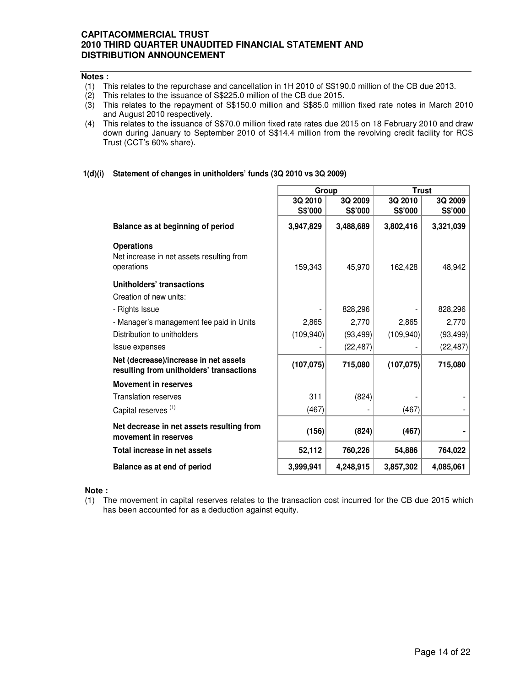### **Notes :**

- (1) This relates to the repurchase and cancellation in 1H 2010 of S\$190.0 million of the CB due 2013.
- (2) This relates to the issuance of S\$225.0 million of the CB due 2015.
- (3) This relates to the repayment of S\$150.0 million and S\$85.0 million fixed rate notes in March 2010 and August 2010 respectively.
- (4) This relates to the issuance of S\$70.0 million fixed rate rates due 2015 on 18 February 2010 and draw down during January to September 2010 of S\$14.4 million from the revolving credit facility for RCS Trust (CCT's 60% share).

r.

### **1(d)(i) Statement of changes in unitholders' funds (3Q 2010 vs 3Q 2009)**

|                                                                                   | Group      |           | Trust      |           |
|-----------------------------------------------------------------------------------|------------|-----------|------------|-----------|
|                                                                                   | 3Q 2010    | 3Q 2009   | 3Q 2010    | 3Q 2009   |
|                                                                                   | S\$'000    | S\$'000   | S\$'000    | S\$'000   |
| Balance as at beginning of period                                                 | 3,947,829  | 3,488,689 | 3,802,416  | 3,321,039 |
| <b>Operations</b><br>Net increase in net assets resulting from<br>operations      | 159,343    | 45,970    | 162,428    | 48,942    |
| Unitholders' transactions                                                         |            |           |            |           |
| Creation of new units:                                                            |            |           |            |           |
| - Rights Issue                                                                    |            | 828,296   |            | 828,296   |
| - Manager's management fee paid in Units                                          | 2,865      | 2,770     | 2,865      | 2,770     |
| Distribution to unitholders                                                       | (109, 940) | (93, 499) | (109, 940) | (93, 499) |
| Issue expenses                                                                    |            | (22, 487) |            | (22, 487) |
| Net (decrease)/increase in net assets<br>resulting from unitholders' transactions | (107, 075) | 715,080   | (107, 075) | 715,080   |
| <b>Movement in reserves</b>                                                       |            |           |            |           |
| <b>Translation reserves</b>                                                       | 311        | (824)     |            |           |
| Capital reserves <sup>(1)</sup>                                                   | (467)      |           | (467)      |           |
| Net decrease in net assets resulting from<br>movement in reserves                 | (156)      | (824)     | (467)      |           |
| Total increase in net assets                                                      | 52,112     | 760,226   | 54,886     | 764,022   |
| Balance as at end of period                                                       | 3,999,941  | 4,248,915 | 3,857,302  | 4,085,061 |

#### **Note :**

(1) The movement in capital reserves relates to the transaction cost incurred for the CB due 2015 which has been accounted for as a deduction against equity.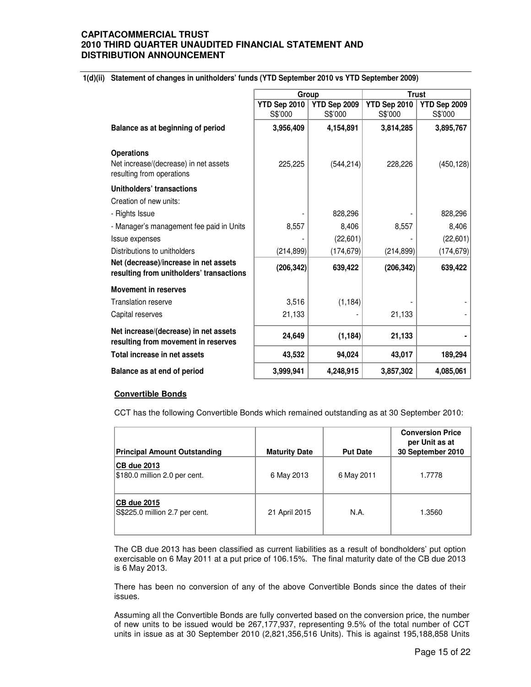#### **1(d)(ii) Statement of changes in unitholders' funds (YTD September 2010 vs YTD September 2009)**

|                                                                                   | Group        |              | <b>Trust</b> |              |
|-----------------------------------------------------------------------------------|--------------|--------------|--------------|--------------|
|                                                                                   | YTD Sep 2010 | YTD Sep 2009 | YTD Sep 2010 | YTD Sep 2009 |
|                                                                                   | S\$'000      | S\$'000      | S\$'000      | S\$'000      |
| Balance as at beginning of period                                                 | 3,956,409    | 4,154,891    | 3,814,285    | 3,895,767    |
| <b>Operations</b>                                                                 |              |              |              |              |
| Net increase/(decrease) in net assets<br>resulting from operations                | 225,225      | (544, 214)   | 228,226      | (450, 128)   |
| Unitholders' transactions                                                         |              |              |              |              |
| Creation of new units:                                                            |              |              |              |              |
| - Rights Issue                                                                    |              | 828,296      |              | 828,296      |
| - Manager's management fee paid in Units                                          | 8,557        | 8,406        | 8,557        | 8,406        |
| <b>Issue expenses</b>                                                             |              | (22,601)     |              | (22,601)     |
| Distributions to unitholders                                                      | (214, 899)   | (174,679)    | (214, 899)   | (174, 679)   |
| Net (decrease)/increase in net assets<br>resulting from unitholders' transactions | (206, 342)   | 639,422      | (206, 342)   | 639,422      |
| <b>Movement in reserves</b>                                                       |              |              |              |              |
| <b>Translation reserve</b>                                                        | 3,516        | (1, 184)     |              |              |
| Capital reserves                                                                  | 21,133       |              | 21,133       |              |
| Net increase/(decrease) in net assets<br>resulting from movement in reserves      | 24,649       | (1, 184)     | 21,133       |              |
| Total increase in net assets                                                      | 43,532       | 94,024       | 43,017       | 189,294      |
| Balance as at end of period                                                       | 3,999,941    | 4,248,915    | 3,857,302    | 4,085,061    |

### **Convertible Bonds**

CCT has the following Convertible Bonds which remained outstanding as at 30 September 2010:

| <b>Principal Amount Outstanding</b>                 | <b>Maturity Date</b> | <b>Put Date</b> | <b>Conversion Price</b><br>per Unit as at<br>30 September 2010 |
|-----------------------------------------------------|----------------------|-----------------|----------------------------------------------------------------|
| <b>CB due 2013</b><br>\$180.0 million 2.0 per cent. | 6 May 2013           | 6 May 2011      | 1.7778                                                         |
| CB due 2015<br>S\$225.0 million 2.7 per cent.       | 21 April 2015        | N.A.            | 1.3560                                                         |

 The CB due 2013 has been classified as current liabilities as a result of bondholders' put option exercisable on 6 May 2011 at a put price of 106.15%. The final maturity date of the CB due 2013 is 6 May 2013.

 There has been no conversion of any of the above Convertible Bonds since the dates of their issues.

Assuming all the Convertible Bonds are fully converted based on the conversion price, the number of new units to be issued would be 267,177,937, representing 9.5% of the total number of CCT units in issue as at 30 September 2010 (2,821,356,516 Units). This is against 195,188,858 Units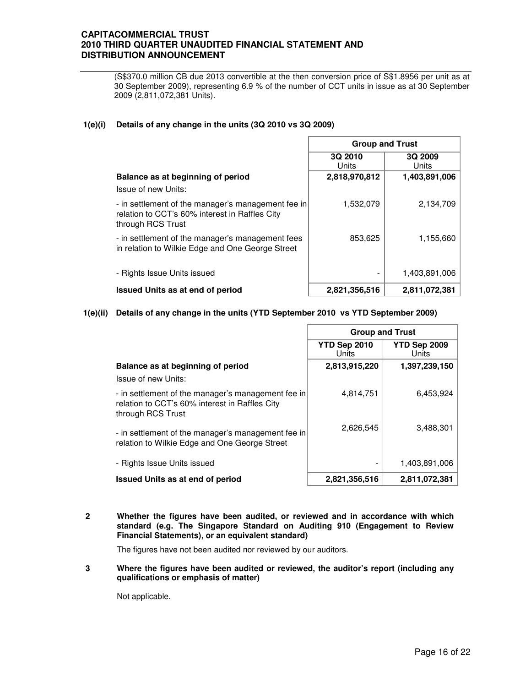(S\$370.0 million CB due 2013 convertible at the then conversion price of S\$1.8956 per unit as at 30 September 2009), representing 6.9 % of the number of CCT units in issue as at 30 September 2009 (2,811,072,381 Units).

### **1(e)(i) Details of any change in the units (3Q 2010 vs 3Q 2009)**

|                                                                                                                           | <b>Group and Trust</b> |                  |  |
|---------------------------------------------------------------------------------------------------------------------------|------------------------|------------------|--|
|                                                                                                                           | 3Q 2010<br>Units       | 3Q 2009<br>Units |  |
| Balance as at beginning of period<br>Issue of new Units:                                                                  | 2,818,970,812          | 1,403,891,006    |  |
| - in settlement of the manager's management fee in<br>relation to CCT's 60% interest in Raffles City<br>through RCS Trust | 1,532,079              | 2,134,709        |  |
| - in settlement of the manager's management fees<br>in relation to Wilkie Edge and One George Street                      | 853,625                | 1,155,660        |  |
| - Rights Issue Units issued                                                                                               |                        | 1,403,891,006    |  |
| <b>Issued Units as at end of period</b>                                                                                   | 2,821,356,516          | 2,811,072,381    |  |

**1(e)(ii) Details of any change in the units (YTD September 2010 vs YTD September 2009)**

|                                                                                                                           | <b>Group and Trust</b> |                       |  |
|---------------------------------------------------------------------------------------------------------------------------|------------------------|-----------------------|--|
|                                                                                                                           | YTD Sep 2010<br>Units  | YTD Sep 2009<br>Units |  |
| Balance as at beginning of period                                                                                         | 2,813,915,220          | 1,397,239,150         |  |
| Issue of new Units:                                                                                                       |                        |                       |  |
| - in settlement of the manager's management fee in<br>relation to CCT's 60% interest in Raffles City<br>through RCS Trust | 4,814,751              | 6,453,924             |  |
| - in settlement of the manager's management fee in<br>relation to Wilkie Edge and One George Street                       | 2,626,545              | 3,488,301             |  |
| - Rights Issue Units issued                                                                                               |                        | 1,403,891,006         |  |
| <b>Issued Units as at end of period</b>                                                                                   | 2,821,356,516          | 2,811,072,381         |  |

Г

**2 Whether the figures have been audited, or reviewed and in accordance with which standard (e.g. The Singapore Standard on Auditing 910 (Engagement to Review Financial Statements), or an equivalent standard)** 

The figures have not been audited nor reviewed by our auditors.

**3 Where the figures have been audited or reviewed, the auditor's report (including any qualifications or emphasis of matter)** 

Not applicable.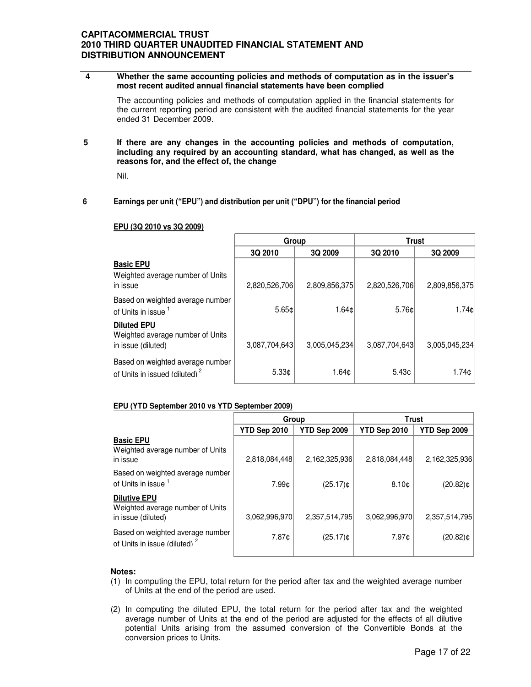#### **4 Whether the same accounting policies and methods of computation as in the issuer's most recent audited annual financial statements have been complied**

The accounting policies and methods of computation applied in the financial statements for the current reporting period are consistent with the audited financial statements for the year ended 31 December 2009.

**5 If there are any changes in the accounting policies and methods of computation, including any required by an accounting standard, what has changed, as well as the reasons for, and the effect of, the change** 

Nil.

### **6 Earnings per unit ("EPU") and distribution per unit ("DPU") for the financial period**

|                                                                               | Group             |               | <b>Trust</b>  |               |
|-------------------------------------------------------------------------------|-------------------|---------------|---------------|---------------|
|                                                                               | 3Q 2010           | 3Q 2009       | 3Q 2010       | 3Q 2009       |
| <b>Basic EPU</b><br>Weighted average number of Units<br>in issue              | 2,820,526,706     | 2,809,856,375 | 2,820,526,706 | 2,809,856,375 |
| Based on weighted average number<br>of Units in issue <sup>1</sup>            | 5.65c             | 1.64c         | 5.76c         | 1.74c         |
| <b>Diluted EPU</b><br>Weighted average number of Units<br>in issue (diluted)  | 3,087,704,643     | 3,005,045,234 | 3,087,704,643 | 3,005,045,234 |
| Based on weighted average number<br>of Units in issued (diluted) <sup>2</sup> | 5.33 <sub>¢</sub> | 1.64¢         | 5.43c         | 1.74¢         |

#### **EPU (3Q 2010 vs 3Q 2009)**

### **EPU (YTD September 2010 vs YTD September 2009)**

|                                                                               | Group         |                     | <b>Trust</b>      |               |
|-------------------------------------------------------------------------------|---------------|---------------------|-------------------|---------------|
|                                                                               | YTD Sep 2010  | <b>YTD Sep 2009</b> | YTD Sep 2010      | YTD Sep 2009  |
| <b>Basic EPU</b><br>Weighted average number of Units<br>in issue              | 2,818,084,448 | 2,162,325,936       | 2,818,084,448     | 2,162,325,936 |
| Based on weighted average number<br>of Units in issue 1                       | 7.99¢         | $(25.17)$ ¢         | 8.10 <sub>c</sub> | $(20.82)$ ¢   |
| <b>Dilutive EPU</b><br>Weighted average number of Units<br>in issue (diluted) | 3,062,996,970 | 2,357,514,795       | 3,062,996,970     | 2,357,514,795 |
| Based on weighted average number<br>of Units in issue (diluted) <sup>2</sup>  | 7.87¢         | (25.17)¢            | 7.97¢             | (20.82)¢      |

### **Notes:**

- (1) In computing the EPU, total return for the period after tax and the weighted average number of Units at the end of the period are used.
- (2) In computing the diluted EPU, the total return for the period after tax and the weighted average number of Units at the end of the period are adjusted for the effects of all dilutive potential Units arising from the assumed conversion of the Convertible Bonds at the conversion prices to Units.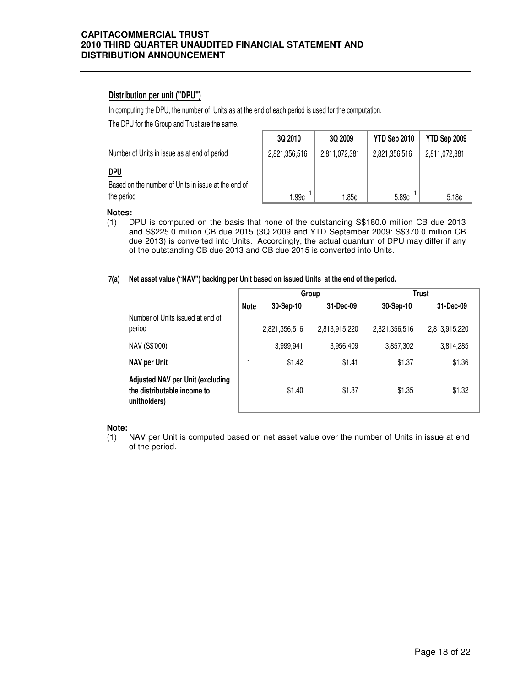# **Distribution per unit ("DPU")**

In computing the DPU, the number of Units as at the end of each period is used for the computation. The DPU for the Group and Trust are the same.

Number of Units in issue as at end of period

# **DPU**

Based on the number of Units in issue at the end of the period

| 3Q 2010       | 3Q 2009       | YTD Sep 2010  | YTD Sep 2009      |
|---------------|---------------|---------------|-------------------|
| 2,821,356,516 | 2,811,072,381 | 2,821,356,516 | 2,811,072,381     |
|               |               |               |                   |
|               |               |               |                   |
| 1.99¢         | 1.85¢         | 5.89¢         | 5.18 <sub>0</sub> |

### **Notes:**

(1) DPU is computed on the basis that none of the outstanding S\$180.0 million CB due 2013 and S\$225.0 million CB due 2015 (3Q 2009 and YTD September 2009: S\$370.0 million CB due 2013) is converted into Units. Accordingly, the actual quantum of DPU may differ if any of the outstanding CB due 2013 and CB due 2015 is converted into Units.

### **7(a) Net asset value ("NAV") backing per Unit based on issued Units at the end of the period.**

|                                                                                        |             | Group         |               | <b>Trust</b>  |               |  |
|----------------------------------------------------------------------------------------|-------------|---------------|---------------|---------------|---------------|--|
|                                                                                        | <b>Note</b> | 30-Sep-10     | 31-Dec-09     | 30-Sep-10     | 31-Dec-09     |  |
| Number of Units issued at end of<br>period                                             |             | 2,821,356,516 | 2,813,915,220 | 2,821,356,516 | 2,813,915,220 |  |
| NAV (S\$'000)                                                                          |             | 3,999,941     | 3,956,409     | 3,857,302     | 3,814,285     |  |
| <b>NAV per Unit</b>                                                                    |             | \$1.42        | \$1.41        | \$1.37        | \$1.36        |  |
| <b>Adjusted NAV per Unit (excluding</b><br>the distributable income to<br>unitholders) |             | \$1.40        | \$1.37        | \$1.35        | \$1.32        |  |

### **Note:**

(1) NAV per Unit is computed based on net asset value over the number of Units in issue at end of the period.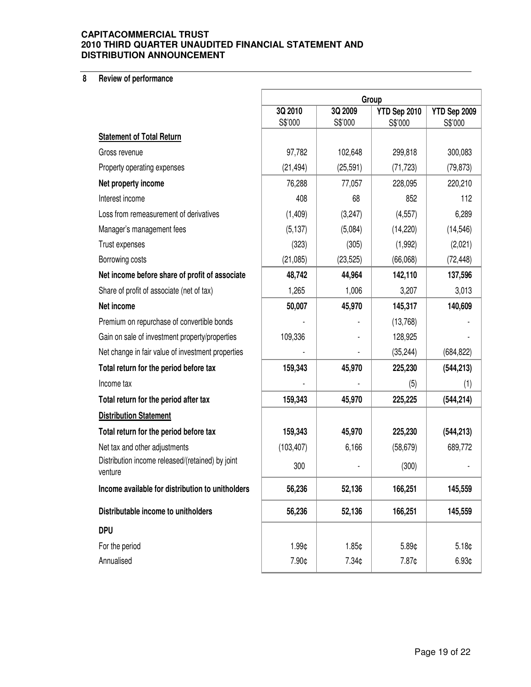# **8 Review of performance**

|                                                             | Group      |           |              |                   |
|-------------------------------------------------------------|------------|-----------|--------------|-------------------|
|                                                             | 3Q 2010    | 3Q 2009   | YTD Sep 2010 | YTD Sep 2009      |
|                                                             | S\$'000    | S\$'000   | S\$'000      | S\$'000           |
| <b>Statement of Total Return</b>                            |            |           |              |                   |
| Gross revenue                                               | 97,782     | 102,648   | 299,818      | 300,083           |
| Property operating expenses                                 | (21, 494)  | (25, 591) | (71, 723)    | (79, 873)         |
| Net property income                                         | 76,288     | 77,057    | 228,095      | 220,210           |
| Interest income                                             | 408        | 68        | 852          | 112               |
| Loss from remeasurement of derivatives                      | (1, 409)   | (3,247)   | (4, 557)     | 6,289             |
| Manager's management fees                                   | (5, 137)   | (5,084)   | (14, 220)    | (14, 546)         |
| Trust expenses                                              | (323)      | (305)     | (1,992)      | (2,021)           |
| Borrowing costs                                             | (21,085)   | (23, 525) | (66,068)     | (72, 448)         |
| Net income before share of profit of associate              | 48,742     | 44,964    | 142,110      | 137,596           |
| Share of profit of associate (net of tax)                   | 1,265      | 1,006     | 3,207        | 3,013             |
| Net income                                                  | 50,007     | 45,970    | 145,317      | 140,609           |
| Premium on repurchase of convertible bonds                  |            |           | (13,768)     |                   |
| Gain on sale of investment property/properties              | 109,336    |           | 128,925      |                   |
| Net change in fair value of investment properties           |            |           | (35, 244)    | (684, 822)        |
| Total return for the period before tax                      | 159,343    | 45,970    | 225,230      | (544, 213)        |
| Income tax                                                  |            |           | (5)          | (1)               |
| Total return for the period after tax                       | 159,343    | 45,970    | 225,225      | (544, 214)        |
| <b>Distribution Statement</b>                               |            |           |              |                   |
| Total return for the period before tax                      | 159,343    | 45,970    | 225,230      | (544, 213)        |
| Net tax and other adjustments                               | (103, 407) | 6,166     | (58, 679)    | 689,772           |
| Distribution income released/(retained) by joint<br>venture | 300        |           | (300)        |                   |
| Income available for distribution to unitholders            | 56,236     | 52,136    | 166,251      | 145,559           |
| Distributable income to unitholders                         | 56,236     | 52,136    | 166,251      | 145,559           |
| <b>DPU</b>                                                  |            |           |              |                   |
| For the period                                              | 1.99¢      | 1.85¢     | 5.89¢        | 5.18 <sub>¢</sub> |
| Annualised                                                  | 7.90¢      | 7.34¢     | 7.87¢        | 6.93 <sub>¢</sub> |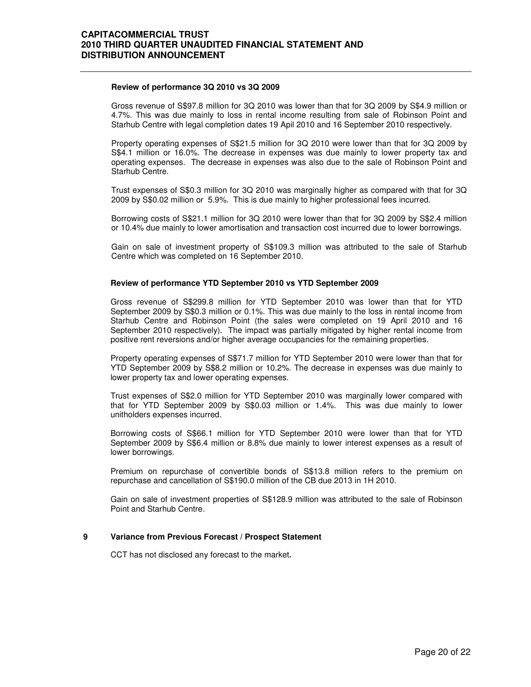#### **Review of performance 3Q 2010 vs 3Q 2009**

 Gross revenue of S\$97.8 million for 3Q 2010 was lower than that for 3Q 2009 by S\$4.9 million or 4.7%. This was due mainly to loss in rental income resulting from sale of Robinson Point and Starhub Centre with legal completion dates 19 Apil 2010 and 16 September 2010 respectively.

Property operating expenses of S\$21.5 million for 3Q 2010 were lower than that for 3Q 2009 by S\$4.1 million or 16.0%. The decrease in expenses was due mainly to lower property tax and operating expenses. The decrease in expenses was also due to the sale of Robinson Point and Starhub Centre.

Trust expenses of S\$0.3 million for 3Q 2010 was marginally higher as compared with that for 3Q 2009 by S\$0.02 million or 5.9%. This is due mainly to higher professional fees incurred.

Borrowing costs of S\$21.1 million for 3Q 2010 were lower than that for 3Q 2009 by S\$2.4 million or 10.4% due mainly to lower amortisation and transaction cost incurred due to lower borrowings.

Gain on sale of investment property of S\$109.3 million was attributed to the sale of Starhub Centre which was completed on 16 September 2010.

#### **Review of performance YTD September 2010 vs YTD September 2009**

Gross revenue of S\$299.8 million for YTD September 2010 was lower than that for YTD September 2009 by S\$0.3 million or 0.1%. This was due mainly to the loss in rental income from Starhub Centre and Robinson Point (the sales were completed on 19 April 2010 and 16 September 2010 respectively). The impact was partially mitigated by higher rental income from positive rent reversions and/or higher average occupancies for the remaining properties.

Property operating expenses of S\$71.7 million for YTD September 2010 were lower than that for YTD September 2009 by S\$8.2 million or 10.2%. The decrease in expenses was due mainly to lower property tax and lower operating expenses.

Trust expenses of S\$2.0 million for YTD September 2010 was marginally lower compared with that for YTD September 2009 by S\$0.03 million or 1.4%. This was due mainly to lower unitholders expenses incurred.

Borrowing costs of S\$66.1 million for YTD September 2010 were lower than that for YTD September 2009 by S\$6.4 million or 8.8% due mainly to lower interest expenses as a result of lower borrowings.

Premium on repurchase of convertible bonds of S\$13.8 million refers to the premium on repurchase and cancellation of S\$190.0 million of the CB due 2013 in 1H 2010.

Gain on sale of investment properties of S\$128.9 million was attributed to the sale of Robinson Point and Starhub Centre.

#### **9 Variance from Previous Forecast / Prospect Statement**

CCT has not disclosed any forecast to the market**.**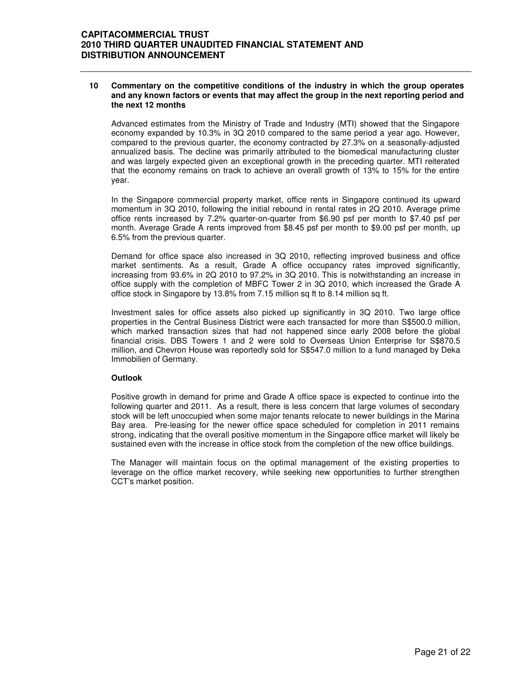#### **10 Commentary on the competitive conditions of the industry in which the group operates and any known factors or events that may affect the group in the next reporting period and the next 12 months**

Advanced estimates from the Ministry of Trade and Industry (MTI) showed that the Singapore economy expanded by 10.3% in 3Q 2010 compared to the same period a year ago. However, compared to the previous quarter, the economy contracted by 27.3% on a seasonally-adjusted annualized basis. The decline was primarily attributed to the biomedical manufacturing cluster and was largely expected given an exceptional growth in the preceding quarter. MTI reiterated that the economy remains on track to achieve an overall growth of 13% to 15% for the entire year.

In the Singapore commercial property market, office rents in Singapore continued its upward momentum in 3Q 2010, following the initial rebound in rental rates in 2Q 2010. Average prime office rents increased by 7.2% quarter-on-quarter from \$6.90 psf per month to \$7.40 psf per month. Average Grade A rents improved from \$8.45 psf per month to \$9.00 psf per month, up 6.5% from the previous quarter.

Demand for office space also increased in 3Q 2010, reflecting improved business and office market sentiments. As a result, Grade A office occupancy rates improved significantly, increasing from 93.6% in 2Q 2010 to 97.2% in 3Q 2010. This is notwithstanding an increase in office supply with the completion of MBFC Tower 2 in 3Q 2010, which increased the Grade A office stock in Singapore by 13.8% from 7.15 million sq ft to 8.14 million sq ft.

Investment sales for office assets also picked up significantly in 3Q 2010. Two large office properties in the Central Business District were each transacted for more than S\$500.0 million, which marked transaction sizes that had not happened since early 2008 before the global financial crisis. DBS Towers 1 and 2 were sold to Overseas Union Enterprise for S\$870.5 million, and Chevron House was reportedly sold for S\$547.0 million to a fund managed by Deka Immobilien of Germany.

#### **Outlook**

Positive growth in demand for prime and Grade A office space is expected to continue into the following quarter and 2011. As a result, there is less concern that large volumes of secondary stock will be left unoccupied when some major tenants relocate to newer buildings in the Marina Bay area. Pre-leasing for the newer office space scheduled for completion in 2011 remains strong, indicating that the overall positive momentum in the Singapore office market will likely be sustained even with the increase in office stock from the completion of the new office buildings.

The Manager will maintain focus on the optimal management of the existing properties to leverage on the office market recovery, while seeking new opportunities to further strengthen CCT's market position.